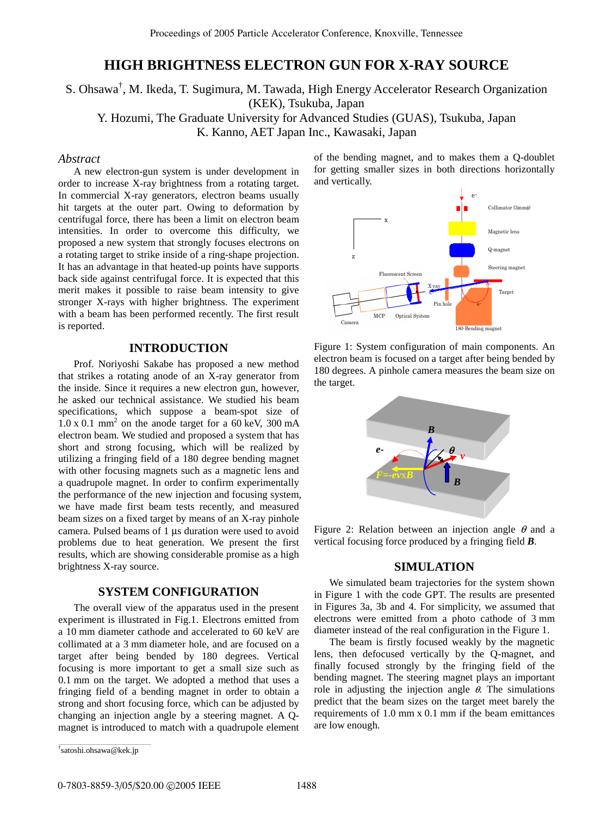# **HIGH BRIGHTNESS ELECTRON GUN FOR X-RAY SOURCE**

# S. Ohsawa† , M. Ikeda, T. Sugimura, M. Tawada, High Energy Accelerator Research Organization (KEK), Tsukuba, Japan Y. Hozumi, The Graduate University for Advanced Studies (GUAS), Tsukuba, Japan K. Kanno, AET Japan Inc., Kawasaki, Japan

#### *Abstract*

A new electron-gun system is under development in order to increase X-ray brightness from a rotating target. In commercial X-ray generators, electron beams usually hit targets at the outer part. Owing to deformation by centrifugal force, there has been a limit on electron beam intensities. In order to overcome this difficulty, we proposed a new system that strongly focuses electrons on a rotating target to strike inside of a ring-shape projection. It has an advantage in that heated-up points have supports back side against centrifugal force. It is expected that this merit makes it possible to raise beam intensity to give stronger X-rays with higher brightness. The experiment with a beam has been performed recently. The first result is reported.

#### **INTRODUCTION**

Prof. Noriyoshi Sakabe has proposed a new method that strikes a rotating anode of an X-ray generator from the inside. Since it requires a new electron gun, however, he asked our technical assistance. We studied his beam specifications, which suppose a beam-spot size of  $1.0 \times 0.1$  mm<sup>2</sup> on the anode target for a 60 keV, 300 mA electron beam. We studied and proposed a system that has short and strong focusing, which will be realized by utilizing a fringing field of a 180 degree bending magnet with other focusing magnets such as a magnetic lens and a quadrupole magnet. In order to confirm experimentally the performance of the new injection and focusing system, we have made first beam tests recently, and measured beam sizes on a fixed target by means of an X-ray pinhole camera. Pulsed beams of 1 µs duration were used to avoid problems due to heat generation. We present the first results, which are showing considerable promise as a high brightness X-ray source.

### **SYSTEM CONFIGURATION**

The overall view of the apparatus used in the present experiment is illustrated in Fig.1. Electrons emitted from a 10 mm diameter cathode and accelerated to 60 keV are collimated at a 3 mm diameter hole, and are focused on a target after being bended by 180 degrees. Vertical focusing is more important to get a small size such as 0.1 mm on the target. We adopted a method that uses a fringing field of a bending magnet in order to obtain a strong and short focusing force, which can be adjusted by changing an injection angle by a steering magnet. A Qmagnet is introduced to match with a quadrupole element

\_\_\_\_\_\_\_\_\_\_\_\_\_\_\_\_\_\_\_\_\_\_\_\_\_\_\_\_\_\_\_\_\_\_\_\_\_\_\_\_\_\_\_\_ † satoshi.ohsawa@kek.jp

of the bending magnet, and to makes them a Q-doublet for getting smaller sizes in both directions horizontally and vertically.



Figure 1: System configuration of main components. An electron beam is focused on a target after being bended by 180 degrees. A pinhole camera measures the beam size on the target.



Figure 2: Relation between an injection angle  $\theta$  and a vertical focusing force produced by a fringing field *B*.

#### **SIMULATION**

We simulated beam trajectories for the system shown in Figure 1 with the code GPT. The results are presented in Figures 3a, 3b and 4. For simplicity, we assumed that electrons were emitted from a photo cathode of 3 mm diameter instead of the real configuration in the Figure 1.

The beam is firstly focused weakly by the magnetic lens, then defocused vertically by the Q-magnet, and finally focused strongly by the fringing field of the bending magnet. The steering magnet plays an important role in adjusting the injection angle  $\theta$ . The simulations predict that the beam sizes on the target meet barely the requirements of 1.0 mm x 0.1 mm if the beam emittances are low enough.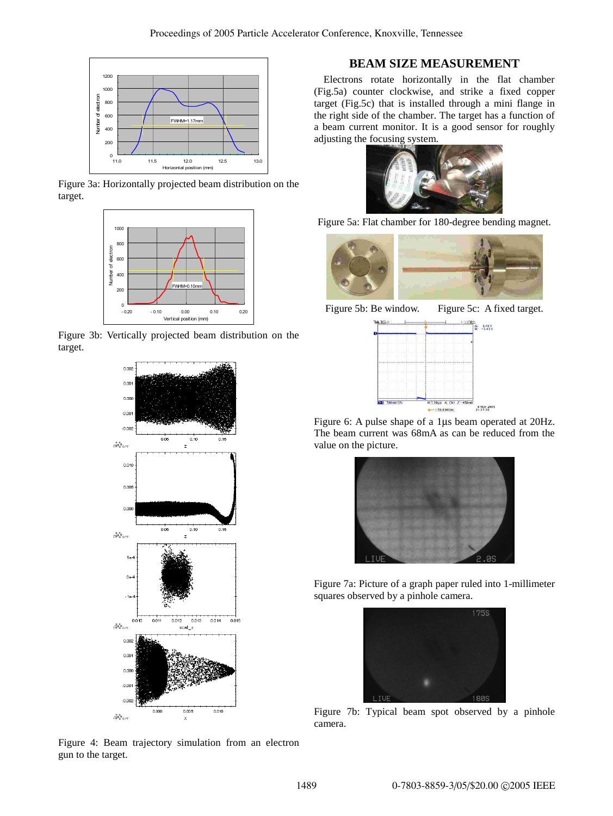





Figure 3b: Vertically projected beam distribution on the target.



Figure 4: Beam trajectory simulation from an electron gun to the target.

## **BEAM SIZE MEASUREMENT**

Electrons rotate horizontally in the flat chamber (Fig.5a) counter clockwise, and strike a fixed copper target (Fig.5c) that is installed through a mini flange in the right side of the chamber. The target has a function of a beam current monitor. It is a good sensor for roughly adjusting the focusing system.



Figure 5a: Flat chamber for 180-degree bending magnet.



Figure 5b: Be window. Figure 5c: A fixed target.



Figure 6: A pulse shape of a 1µs beam operated at 20Hz. The beam current was 68mA as can be reduced from the value on the picture.



Figure 7a: Picture of a graph paper ruled into 1-millimeter squares observed by a pinhole camera.



Figure 7b: Typical beam spot observed by a pinhole camera.